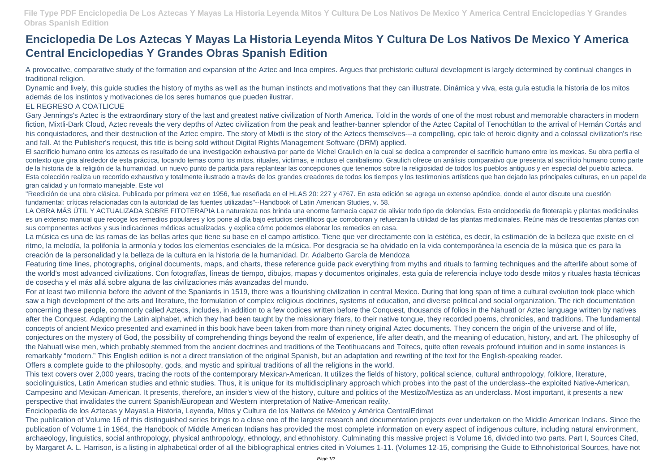**File Type PDF Enciclopedia De Los Aztecas Y Mayas La Historia Leyenda Mitos Y Cultura De Los Nativos De Mexico Y America Central Enciclopedias Y Grandes Obras Spanish Edition**

## **Enciclopedia De Los Aztecas Y Mayas La Historia Leyenda Mitos Y Cultura De Los Nativos De Mexico Y America Central Enciclopedias Y Grandes Obras Spanish Edition**

A provocative, comparative study of the formation and expansion of the Aztec and Inca empires. Argues that prehistoric cultural development is largely determined by continual changes in traditional religion.

Dynamic and lively, this guide studies the history of myths as well as the human instincts and motivations that they can illustrate. Dinámica y viva, esta guía estudia la historia de los mitos además de los instintos y motivaciones de los seres humanos que pueden ilustrar.

## EL REGRESO A COATLICUE

Gary Jennings's Aztec is the extraordinary story of the last and greatest native civilization of North America. Told in the words of one of the most robust and memorable characters in modern fiction, Mixtli-Dark Cloud, Aztec reveals the very depths of Aztec civilization from the peak and feather-banner splendor of the Aztec Capital of Tenochtitlan to the arrival of Hernán Cortás and his conquistadores, and their destruction of the Aztec empire. The story of Mixtli is the story of the Aztecs themselves---a compelling, epic tale of heroic dignity and a colossal civilization's rise and fall. At the Publisher's request, this title is being sold without Digital Rights Management Software (DRM) applied.

La música es una de las ramas de las bellas artes que tiene su base en el campo artístico. Tiene que ver directamente con la estética, es decir, la estimación de la belleza que existe en el ritmo, la melodía, la polifonía la armonía y todos los elementos esenciales de la música. Por desgracia se ha olvidado en la vida contemporánea la esencia de la música que es para la creación de la personalidad y la belleza de la cultura en la historia de la humanidad. Dr. Adalberto García de Mendoza

El sacrificio humano entre los aztecas es resultado de una investigación exhaustiva por parte de Michel Graulich en la cual se dedica a comprender el sacrificio humano entre los mexicas. Su obra perfila el contexto que gira alrededor de esta práctica, tocando temas como los mitos, rituales, victimas, e incluso el canibalismo. Graulich ofrece un análisis comparativo que presenta al sacrificio humano como parte de la historia de la religión de la humanidad, un nuevo punto de partida para replantear las concepciones que tenemos sobre la religiosidad de todos los pueblos antiguos y en especial del pueblo azteca. Esta colección realiza un recorrido exhaustivo y totalmente ilustrado a través de los grandes creadores de todos los tiempos y los testimonios artísticos que han dejado las principales culturas, en un papel de gran calidad y un formato manejable. Este vol

"Reedición de una obra clásica. Publicada por primera vez en 1956, fue reseñada en el HLAS 20: 227 y 4767. En esta edición se agrega un extenso apéndice, donde el autor discute una cuestión fundamental: críticas relacionadas con la autoridad de las fuentes utilizadas"--Handbook of Latin American Studies, v. 58.

LA OBRA MÁS ÚTIL Y ACTUALIZADA SOBRE FITOTERAPIA La naturaleza nos brinda una enorme farmacia capaz de aliviar todo tipo de dolencias. Esta enciclopedia de fitoterapia y plantas medicinales es un extenso manual que recoge los remedios populares y los pone al día bajo estudios científicos que corroboran y refuerzan la utilidad de las plantas medicinales. Reúne más de trescientas plantas con sus componentes activos y sus indicaciones médicas actualizadas, y explica cómo podemos elaborar los remedios en casa.

Featuring time lines, photographs, original documents, maps, and charts, these reference guide pack everything from myths and rituals to farming techniques and the afterlife about some of the world's most advanced civilizations. Con fotografías, líneas de tiempo, dibujos, mapas y documentos originales, esta guía de referencia incluye todo desde mitos y rituales hasta técnicas de cosecha y el más allá sobre alguna de las civilizaciones más avanzadas del mundo.

For at least two millennia before the advent of the Spaniards in 1519, there was a flourishing civilization in central Mexico. During that long span of time a cultural evolution took place which saw a high development of the arts and literature, the formulation of complex religious doctrines, systems of education, and diverse political and social organization. The rich documentation concerning these people, commonly called Aztecs, includes, in addition to a few codices written before the Conquest, thousands of folios in the Nahuatl or Aztec language written by natives after the Conquest. Adapting the Latin alphabet, which they had been taught by the missionary friars, to their native tongue, they recorded poems, chronicles, and traditions. The fundamental concepts of ancient Mexico presented and examined in this book have been taken from more than ninety original Aztec documents. They concern the origin of the universe and of life, conjectures on the mystery of God, the possibility of comprehending things beyond the realm of experience, life after death, and the meaning of education, history, and art. The philosophy of the Nahuatl wise men, which probably stemmed from the ancient doctrines and traditions of the Teotihuacans and Toltecs, quite often reveals profound intuition and in some instances is remarkably "modern." This English edition is not a direct translation of the original Spanish, but an adaptation and rewriting of the text for the English-speaking reader. Offers a complete guide to the philosophy, gods, and mystic and spiritual traditions of all the religions in the world.

This text covers over 2,000 years, tracing the roots of the contemporary Mexican-American. It utilizes the fields of history, political science, cultural anthropology, folklore, literature, sociolinguistics, Latin American studies and ethnic studies. Thus, it is unique for its multidisciplinary approach which probes into the past of the underclass--the exploited Native-American, Campesino and Mexican-American. It presents, therefore, an insider's view of the history, culture and politics of the Mestizo/Mestiza as an underclass. Most important, it presents a new perspective that invalidates the current Spanish/European and Western interpretation of Native-American reality.

Enciclopedia de los Aztecas y MayasLa Historia, Leyenda, Mitos y Cultura de los Nativos de México y América CentralEdimat

The publication of Volume 16 of this distinguished series brings to a close one of the largest research and documentation projects ever undertaken on the Middle American Indians. Since the publication of Volume 1 in 1964, the Handbook of Middle American Indians has provided the most complete information on every aspect of indigenous culture, including natural environment, archaeology, linguistics, social anthropology, physical anthropology, ethnology, and ethnohistory. Culminating this massive project is Volume 16, divided into two parts. Part I, Sources Cited, by Margaret A. L. Harrison, is a listing in alphabetical order of all the bibliographical entries cited in Volumes 1-11. (Volumes 12-15, comprising the Guide to Ethnohistorical Sources, have not